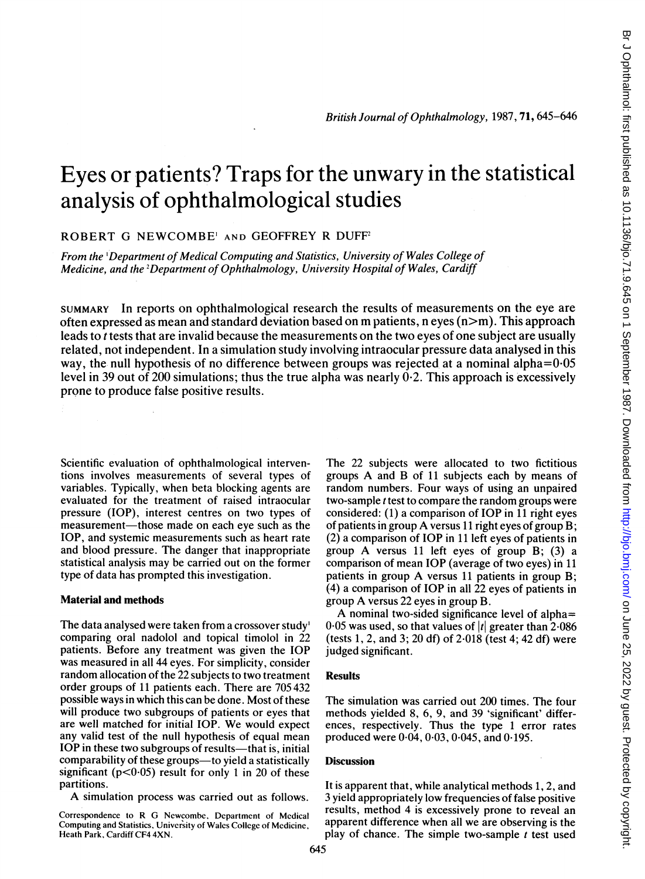# Eyes or patients? Traps for the unwary in the statistical analysis of ophthalmological studies

ROBERT G NEWCOMBE' AND GEOFFREY R DUFF2

From the 'Department of Medical Computing and Statistics, University of Wales College of Medicine, and the 2Department of Ophthalmology, University Hospital of Wales, Cardiff

SUMMARY In reports on ophthalmological research the results of measurements on the eye are often expressed as mean and standard deviation based on m patients, n eyes  $(n>m)$ . This approach leads to <sup>t</sup> tests that are invalid because the measurements on the two eyes of one subject are usually related, not independent. In a simulation study involving intraocular pressure data analysed in this way, the null hypothesis of no difference between groups was rejected at a nominal alpha=0-05 level in 39 out of 200 simulations; thus the true alpha was nearly  $\dot{0}$ -2. This approach is excessively prone to produce false positive results.

Scientific evaluation of ophthalmological interventions involves measurements of several types of variables. Typically, when beta blocking agents are evaluated for the treatment of raised intraocular pressure (TOP), interest centres on two types of measurement—those made on each eye such as the IOP, and systemic measurements such as heart rate and blood pressure. The danger that inappropriate statistical analysis may be carried out on the former type of data has prompted this investigation.

#### Material and methods

The data analysed were taken from a crossover study' comparing oral nadolol and topical timolol in 22 patients. Before any treatment was given the IOP was measured in all 44 eyes. For simplicity, consider random allocation of the 22 subjects to two treatment order groups of 11 patients each. There are 705 432 possible ways in which this can be done. Most of these will produce two subgroups of patients or eyes that are well matched for initial IOP. We would expect any valid test of the null hypothesis of equal mean IOP in these two subgroups of results—that is, initial comparability of these groups—to yield a statistically significant ( $p<0.05$ ) result for only 1 in 20 of these partitions.

A simulation process was carried out as follows.

Correspondence to R G Newcombe, Department of Medical Computing and Statistics, University of Wales College of Medicine, Heath Park, Cardiff CF4 4XN.

The 22 subjects were allocated to two fictitious groups A and B of <sup>11</sup> subjects each by means of random numbers. Four ways of using an unpaired two-sample *t* test to compare the random groups were considered: (1) a comparison of IOP in <sup>11</sup> right eyes of patients in group A versus <sup>11</sup> right eyes of group B; (2) a comparison of IOP in <sup>11</sup> left eyes of patients in group A versus <sup>11</sup> left eyes of group B; (3) <sup>a</sup> comparison of mean TOP (average of two eyes) in <sup>11</sup> patients in group A versus <sup>11</sup> patients in group B; (4) a comparison of IOP in all 22 eyes of patients in group A versus <sup>22</sup> eyes in group B.

A nominal two-sided significance level of alpha= 0.05 was used, so that values of  $|t|$  greater than 2.086 (tests 1, 2, and 3; 20 df) of 2.018 (test 4; 42 df) were judged significant.

## **Results**

The simulation was carried out 200 times. The four methods yielded 8, 6, 9, and 39 'significant' differences, respectively. Thus the type <sup>1</sup> error rates produced were 0-04, 0-03, 0-045, and 0-195.

### **Discussion**

It is apparent that, while analytical methods 1, 2, and 3 yield appropriately low frequencies of false positive results, method 4 is excessively prone to reveal an apparent difference when all we are observing is the play of chance. The simple two-sample  $t$  test used